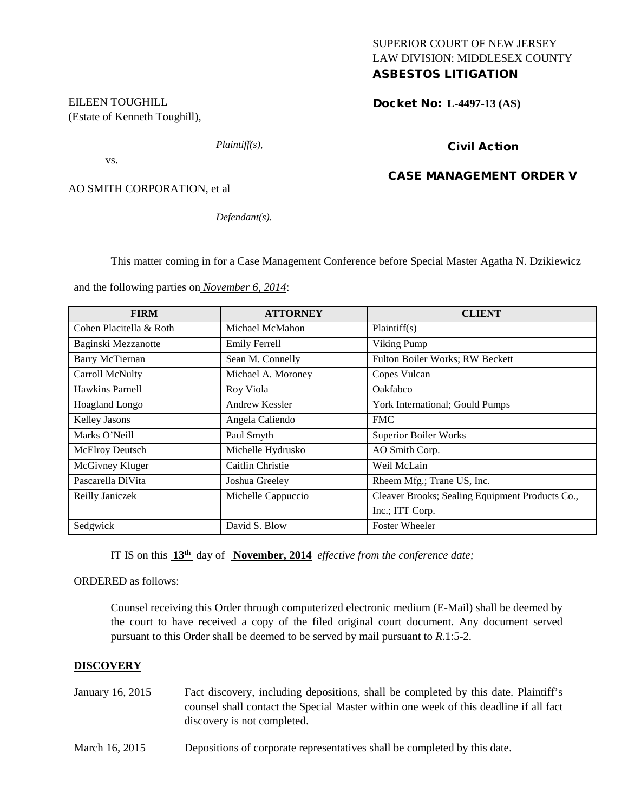# SUPERIOR COURT OF NEW JERSEY LAW DIVISION: MIDDLESEX COUNTY

# ASBESTOS LITIGATION

Docket No: **L-4497-13 (AS)** 

# Civil Action

# CASE MANAGEMENT ORDER V

AO SMITH CORPORATION, et al

EILEEN TOUGHILL

vs.

(Estate of Kenneth Toughill),

*Defendant(s).*

*Plaintiff(s),*

This matter coming in for a Case Management Conference before Special Master Agatha N. Dzikiewicz

and the following parties on *November 6, 2014*:

| <b>FIRM</b>             | <b>ATTORNEY</b>      | <b>CLIENT</b>                                   |
|-------------------------|----------------------|-------------------------------------------------|
| Cohen Placitella & Roth | Michael McMahon      | Plaintiff(s)                                    |
| Baginski Mezzanotte     | <b>Emily Ferrell</b> | Viking Pump                                     |
| <b>Barry McTiernan</b>  | Sean M. Connelly     | Fulton Boiler Works; RW Beckett                 |
| Carroll McNulty         | Michael A. Moroney   | Copes Vulcan                                    |
| Hawkins Parnell         | Roy Viola            | Oakfabco                                        |
| Hoagland Longo          | Andrew Kessler       | York International; Gould Pumps                 |
| Kelley Jasons           | Angela Caliendo      | <b>FMC</b>                                      |
| Marks O'Neill           | Paul Smyth           | <b>Superior Boiler Works</b>                    |
| McElroy Deutsch         | Michelle Hydrusko    | AO Smith Corp.                                  |
| McGivney Kluger         | Caitlin Christie     | Weil McLain                                     |
| Pascarella DiVita       | Joshua Greeley       | Rheem Mfg.; Trane US, Inc.                      |
| Reilly Janiczek         | Michelle Cappuccio   | Cleaver Brooks; Sealing Equipment Products Co., |
|                         |                      | Inc.; ITT Corp.                                 |
| Sedgwick                | David S. Blow        | <b>Foster Wheeler</b>                           |

IT IS on this **13th** day of **November, 2014** *effective from the conference date;*

ORDERED as follows:

Counsel receiving this Order through computerized electronic medium (E-Mail) shall be deemed by the court to have received a copy of the filed original court document. Any document served pursuant to this Order shall be deemed to be served by mail pursuant to *R*.1:5-2.

#### **DISCOVERY**

| January 16, 2015 | Fact discovery, including depositions, shall be completed by this date. Plaintiff's<br>counsel shall contact the Special Master within one week of this deadline if all fact<br>discovery is not completed. |
|------------------|-------------------------------------------------------------------------------------------------------------------------------------------------------------------------------------------------------------|
| March 16, 2015   | Depositions of corporate representatives shall be completed by this date.                                                                                                                                   |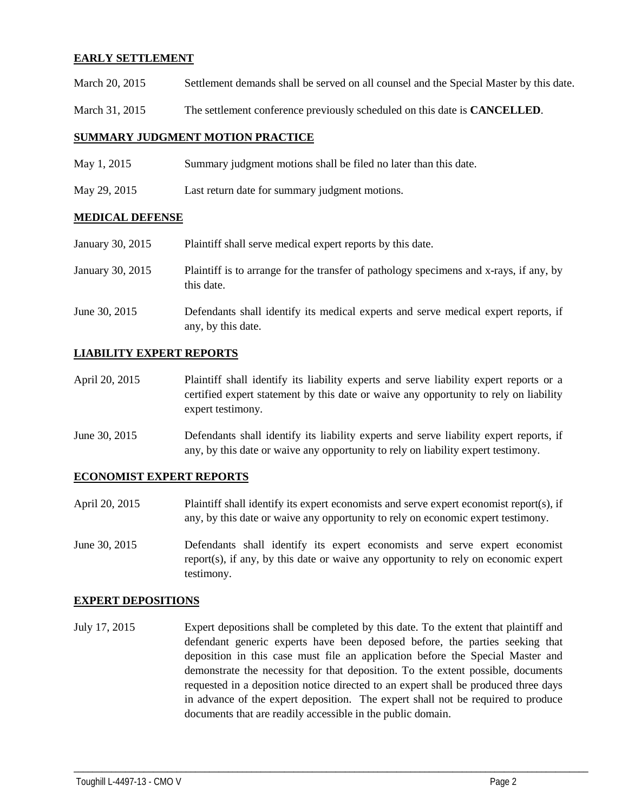### **EARLY SETTLEMENT**

- March 20, 2015 Settlement demands shall be served on all counsel and the Special Master by this date.
- March 31, 2015 The settlement conference previously scheduled on this date is **CANCELLED**.

#### **SUMMARY JUDGMENT MOTION PRACTICE**

- May 1, 2015 Summary judgment motions shall be filed no later than this date.
- May 29, 2015 Last return date for summary judgment motions.

#### **MEDICAL DEFENSE**

| January 30, 2015 | Plaintiff shall serve medical expert reports by this date.                                               |
|------------------|----------------------------------------------------------------------------------------------------------|
| January 30, 2015 | Plaintiff is to arrange for the transfer of pathology specimens and x-rays, if any, by<br>this date.     |
| June 30, 2015    | Defendants shall identify its medical experts and serve medical expert reports, if<br>any, by this date. |

### **LIABILITY EXPERT REPORTS**

- April 20, 2015 Plaintiff shall identify its liability experts and serve liability expert reports or a certified expert statement by this date or waive any opportunity to rely on liability expert testimony.
- June 30, 2015 Defendants shall identify its liability experts and serve liability expert reports, if any, by this date or waive any opportunity to rely on liability expert testimony.

#### **ECONOMIST EXPERT REPORTS**

- April 20, 2015 Plaintiff shall identify its expert economists and serve expert economist report(s), if any, by this date or waive any opportunity to rely on economic expert testimony.
- June 30, 2015 Defendants shall identify its expert economists and serve expert economist report(s), if any, by this date or waive any opportunity to rely on economic expert testimony.

#### **EXPERT DEPOSITIONS**

July 17, 2015 Expert depositions shall be completed by this date. To the extent that plaintiff and defendant generic experts have been deposed before, the parties seeking that deposition in this case must file an application before the Special Master and demonstrate the necessity for that deposition. To the extent possible, documents requested in a deposition notice directed to an expert shall be produced three days in advance of the expert deposition. The expert shall not be required to produce documents that are readily accessible in the public domain.

\_\_\_\_\_\_\_\_\_\_\_\_\_\_\_\_\_\_\_\_\_\_\_\_\_\_\_\_\_\_\_\_\_\_\_\_\_\_\_\_\_\_\_\_\_\_\_\_\_\_\_\_\_\_\_\_\_\_\_\_\_\_\_\_\_\_\_\_\_\_\_\_\_\_\_\_\_\_\_\_\_\_\_\_\_\_\_\_\_\_\_\_\_\_\_\_\_\_\_\_\_\_\_\_\_\_\_\_\_\_